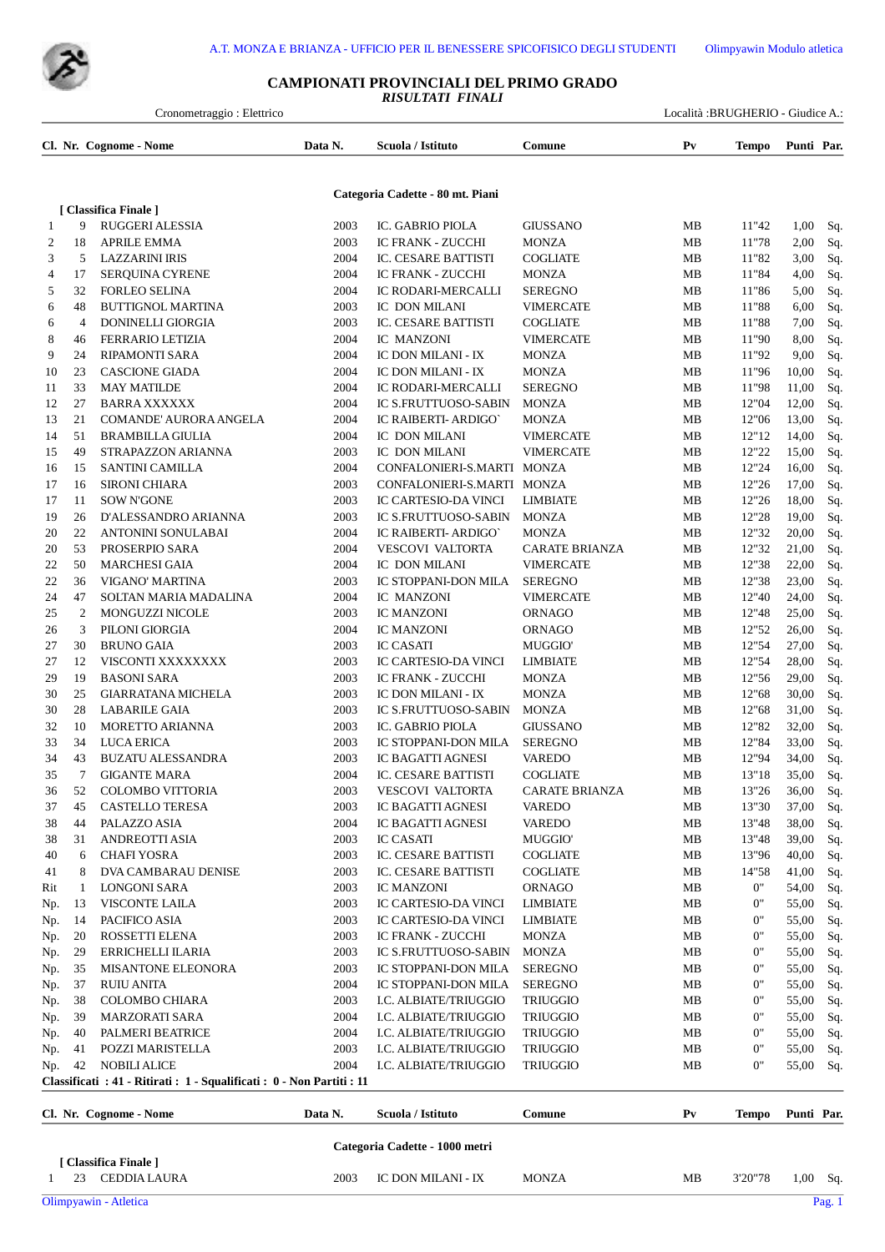

## **CAMPIONATI PROVINCIALI DEL PRIMO GRADO** *RISULTATI FINALI*

| Cronometraggio: Elettrico |                |                                                                        |              |                                                         |                                       |                |                | Località :BRUGHERIO - Giudice A.: |            |
|---------------------------|----------------|------------------------------------------------------------------------|--------------|---------------------------------------------------------|---------------------------------------|----------------|----------------|-----------------------------------|------------|
|                           |                | Cl. Nr. Cognome - Nome                                                 | Data N.      | Scuola / Istituto                                       | Comune                                | P <sub>V</sub> | <b>Tempo</b>   | Punti Par.                        |            |
|                           |                |                                                                        |              | Categoria Cadette - 80 mt. Piani                        |                                       |                |                |                                   |            |
|                           |                | [ Classifica Finale ]                                                  |              |                                                         |                                       |                |                |                                   |            |
| $\mathbf{1}$              | 9              | RUGGERI ALESSIA                                                        | 2003         | IC. GABRIO PIOLA                                        | <b>GIUSSANO</b>                       | MB             | 11"42          | 1,00                              | Sq.        |
| 2                         | 18             | <b>APRILE EMMA</b>                                                     | 2003         | <b>IC FRANK - ZUCCHI</b>                                | <b>MONZA</b>                          | MB             | 11"78          | 2,00                              | Sq.        |
| 3                         | 5              | LAZZARINI IRIS                                                         | 2004         | IC. CESARE BATTISTI                                     | <b>COGLIATE</b>                       | MB             | 11"82          | 3,00                              | Sq.        |
| 4                         | 17             | SERQUINA CYRENE                                                        | 2004         | <b>IC FRANK - ZUCCHI</b>                                | <b>MONZA</b>                          | MB             | 11"84          | 4,00                              | Sq.        |
| 5<br>6                    | 32<br>48       | <b>FORLEO SELINA</b><br><b>BUTTIGNOL MARTINA</b>                       | 2004<br>2003 | IC RODARI-MERCALLI<br>IC DON MILANI                     | <b>SEREGNO</b><br><b>VIMERCATE</b>    | MB<br>MB       | 11"86<br>11"88 | 5,00<br>6,00                      | Sq.<br>Sq. |
| 6                         | $\overline{4}$ | DONINELLI GIORGIA                                                      | 2003         | IC. CESARE BATTISTI                                     | <b>COGLIATE</b>                       | MB             | 11"88          | 7,00                              | Sq.        |
| 8                         | 46             | <b>FERRARIO LETIZIA</b>                                                | 2004         | IC MANZONI                                              | <b>VIMERCATE</b>                      | MB             | 11"90          | 8,00                              | Sq.        |
| 9                         | 24             | RIPAMONTI SARA                                                         | 2004         | IC DON MILANI - IX                                      | <b>MONZA</b>                          | MB             | 11"92          | 9,00                              | Sq.        |
| 10                        | 23             | <b>CASCIONE GIADA</b>                                                  | 2004         | IC DON MILANI - IX                                      | <b>MONZA</b>                          | MB             | 11"96          | 10,00                             | Sq.        |
| 11                        | 33             | <b>MAY MATILDE</b>                                                     | 2004         | IC RODARI-MERCALLI                                      | <b>SEREGNO</b>                        | MВ             | 11"98          | 11,00                             | Sq.        |
| 12                        | 27             | <b>BARRA XXXXXX</b>                                                    | 2004         | <b>IC S.FRUTTUOSO-SABIN</b>                             | <b>MONZA</b>                          | MB             | 12"04          | 12,00                             | Sq.        |
| 13                        | 21             | COMANDE' AURORA ANGELA                                                 | 2004         | IC RAIBERTI- ARDIGO'                                    | <b>MONZA</b>                          | MB             | 12"06          | 13,00                             | Sq.        |
| 14                        | 51             | <b>BRAMBILLA GIULIA</b>                                                | 2004         | IC DON MILANI                                           | <b>VIMERCATE</b>                      | MB             | 12"12          | 14,00                             | Sq.        |
| 15                        | 49             | STRAPAZZON ARIANNA                                                     | 2003         | IC DON MILANI                                           | <b>VIMERCATE</b>                      | MB             | 12"22          | 15,00                             | Sq.        |
| 16                        | 15             | SANTINI CAMILLA                                                        | 2004         | CONFALONIERI-S.MARTI                                    | MONZA                                 | MВ             | 12"24          | 16,00                             | Sq.        |
| 17                        | 16             | <b>SIRONI CHIARA</b>                                                   | 2003         | CONFALONIERI-S.MARTI MONZA                              |                                       | MB             | 12"26          | 17,00                             | Sq.        |
| 17                        | 11             | <b>SOW N'GONE</b>                                                      | 2003         | IC CARTESIO-DA VINCI                                    | <b>LIMBIATE</b>                       | MB             | 12"26          | 18,00                             | Sq.        |
| 19                        | 26<br>22       | D'ALESSANDRO ARIANNA                                                   | 2003<br>2004 | <b>IC S.FRUTTUOSO-SABIN</b>                             | <b>MONZA</b>                          | MB             | 12"28<br>12"32 | 19,00<br>20,00                    | Sq.        |
| 20<br>20                  | 53             | ANTONINI SONULABAI<br>PROSERPIO SARA                                   | 2004         | IC RAIBERTI- ARDIGO'<br><b>VESCOVI VALTORTA</b>         | <b>MONZA</b><br><b>CARATE BRIANZA</b> | MB<br>MB       | 12"32          | 21,00                             | Sq.<br>Sq. |
| 22                        | 50             | <b>MARCHESI GAIA</b>                                                   | 2004         | IC DON MILANI                                           | <b>VIMERCATE</b>                      | MB             | 12"38          | 22,00                             | Sq.        |
| 22                        | 36             | VIGANO' MARTINA                                                        | 2003         | IC STOPPANI-DON MILA                                    | <b>SEREGNO</b>                        | MB             | 12"38          | 23,00                             | Sq.        |
| 24                        | 47             | SOLTAN MARIA MADALINA                                                  | 2004         | IC MANZONI                                              | <b>VIMERCATE</b>                      | MB             | 12"40          | 24,00                             | Sq.        |
| 25                        | 2              | MONGUZZI NICOLE                                                        | 2003         | IC MANZONI                                              | <b>ORNAGO</b>                         | MB             | 12"48          | 25,00                             | Sq.        |
| 26                        | 3              | PILONI GIORGIA                                                         | 2004         | <b>IC MANZONI</b>                                       | <b>ORNAGO</b>                         | MB             | 12"52          | 26,00                             | Sq.        |
| 27                        | 30             | <b>BRUNO GAIA</b>                                                      | 2003         | <b>IC CASATI</b>                                        | <b>MUGGIO</b>                         | MB             | 12"54          | 27,00                             | Sq.        |
| 27                        | 12             | VISCONTI XXXXXXXX                                                      | 2003         | IC CARTESIO-DA VINCI                                    | <b>LIMBIATE</b>                       | MB             | 12"54          | 28,00                             | Sq.        |
| 29                        | 19             | <b>BASONI SARA</b>                                                     | 2003         | <b>IC FRANK - ZUCCHI</b>                                | <b>MONZA</b>                          | MB             | 12"56          | 29,00                             | Sq.        |
| 30                        | 25             | <b>GIARRATANA MICHELA</b>                                              | 2003         | IC DON MILANI - IX                                      | <b>MONZA</b>                          | MB             | 12"68          | 30,00                             | Sq.        |
| 30                        | 28             | <b>LABARILE GAIA</b>                                                   | 2003         | <b>IC S.FRUTTUOSO-SABIN</b>                             | <b>MONZA</b>                          | MB             | 12"68          | 31,00                             | Sq.        |
| 32                        | 10             | <b>MORETTO ARIANNA</b>                                                 | 2003         | IC. GABRIO PIOLA                                        | <b>GIUSSANO</b>                       | MВ             | 12"82          | 32,00                             | Sq.        |
| 33                        | 34             | <b>LUCA ERICA</b>                                                      | 2003         | IC STOPPANI-DON MILA                                    | <b>SEREGNO</b>                        | MB             | 12"84          | 33,00                             | Sq.        |
| 34                        | 43             | <b>BUZATU ALESSANDRA</b>                                               | 2003         | IC BAGATTI AGNESI                                       | VAREDO                                | MB             | 12"94          | 34,00                             | Sq.        |
| 35                        | 7              | <b>GIGANTE MARA</b>                                                    | 2004         | IC. CESARE BATTISTI                                     | <b>COGLIATE</b>                       | MB             | 13"18          | 35,00                             | Sq.        |
| 36                        | 52             | <b>COLOMBO VITTORIA</b>                                                | 2003         | <b>VESCOVI VALTORTA</b>                                 | <b>CARATE BRIANZA</b>                 | MB             | 13"26          | 36,00                             | Sq.        |
| 37<br>38                  | 45<br>44       | CASTELLO TERESA<br>PALAZZO ASIA                                        | 2003<br>2004 | IC BAGATTI AGNESI<br>IC BAGATTI AGNESI                  | <b>VAREDO</b><br><b>VAREDO</b>        | MВ<br>MВ       | 13"30<br>13"48 | 37,00<br>38,00                    | Sq.        |
| 38                        | 31             | ANDREOTTI ASIA                                                         | 2003         | <b>IC CASATI</b>                                        | MUGGIO'                               | MB             | 13"48          | 39,00                             | Sq.<br>Sq. |
| 40                        | 6              | CHAFI YOSRA                                                            | 2003         | IC. CESARE BATTISTI                                     | <b>COGLIATE</b>                       | MВ             | 13"96          | 40,00                             | Sq.        |
| 41                        | 8              | DVA CAMBARAU DENISE                                                    | 2003         | IC. CESARE BATTISTI                                     | <b>COGLIATE</b>                       | MВ             | 14"58          | 41,00                             | Sq.        |
| Rit                       | 1              | <b>LONGONI SARA</b>                                                    | 2003         | <b>IC MANZONI</b>                                       | ORNAGO                                | MВ             | 0"             | 54,00                             | Sq.        |
| Np.                       | 13             | <b>VISCONTE LAILA</b>                                                  | 2003         | IC CARTESIO-DA VINCI                                    | <b>LIMBIATE</b>                       | MB             | 0"             | 55,00                             | Sq.        |
| Np.                       | 14             | PACIFICO ASIA                                                          | 2003         | <b>IC CARTESIO-DA VINCI</b>                             | <b>LIMBIATE</b>                       | MВ             | 0"             | 55,00                             | Sq.        |
| Np.                       | 20             | ROSSETTI ELENA                                                         | 2003         | IC FRANK - ZUCCHI                                       | <b>MONZA</b>                          | MВ             | 0"             | 55,00                             | Sq.        |
| Np.                       | 29             | ERRICHELLI ILARIA                                                      | 2003         | <b>IC S.FRUTTUOSO-SABIN</b>                             | <b>MONZA</b>                          | MB             | 0"             | 55,00                             | Sq.        |
| Np.                       | 35             | <b>MISANTONE ELEONORA</b>                                              | 2003         | IC STOPPANI-DON MILA                                    | <b>SEREGNO</b>                        | MB             | 0"             | 55,00                             | Sq.        |
| Np.                       | 37             | <b>RUIU ANITA</b>                                                      | 2004         | IC STOPPANI-DON MILA                                    | <b>SEREGNO</b>                        | MВ             | 0"             | 55,00                             | Sq.        |
| Np.                       | 38             | COLOMBO CHIARA                                                         | 2003         | I.C. ALBIATE/TRIUGGIO                                   | TRIUGGIO                              | MB             | 0"             | 55,00                             | Sq.        |
| Np.                       | 39             | <b>MARZORATI SARA</b>                                                  | 2004         | I.C. ALBIATE/TRIUGGIO                                   | <b>TRIUGGIO</b>                       | MВ             | 0"             | 55,00                             | Sq.        |
| Np.                       | 40             | PALMERI BEATRICE                                                       | 2004         | I.C. ALBIATE/TRIUGGIO                                   | TRIUGGIO                              | MВ             | 0"             | 55,00                             | Sq.        |
| Np.                       | 41             | POZZI MARISTELLA                                                       | 2003         | I.C. ALBIATE/TRIUGGIO                                   | TRIUGGIO                              | MВ             | 0"             | 55,00                             | Sq.        |
|                           |                | Classificati : 41 - Ritirati : 1 - Squalificati : 0 - Non Partiti : 11 |              |                                                         |                                       |                |                |                                   | Sq.        |
|                           |                | Cl. Nr. Cognome - Nome                                                 | Data N.      | Scuola / Istituto                                       | Comune                                | P <sub>V</sub> | <b>Tempo</b>   | Punti Par.                        |            |
| Np.                       | 42             | <b>NOBILI ALICE</b>                                                    | 2004         | I.C. ALBIATE/TRIUGGIO<br>Categoria Cadette - 1000 metri | <b>TRIUGGIO</b>                       | MВ             | 0"             |                                   | 55,00      |

 **[ Classifica Finale ]**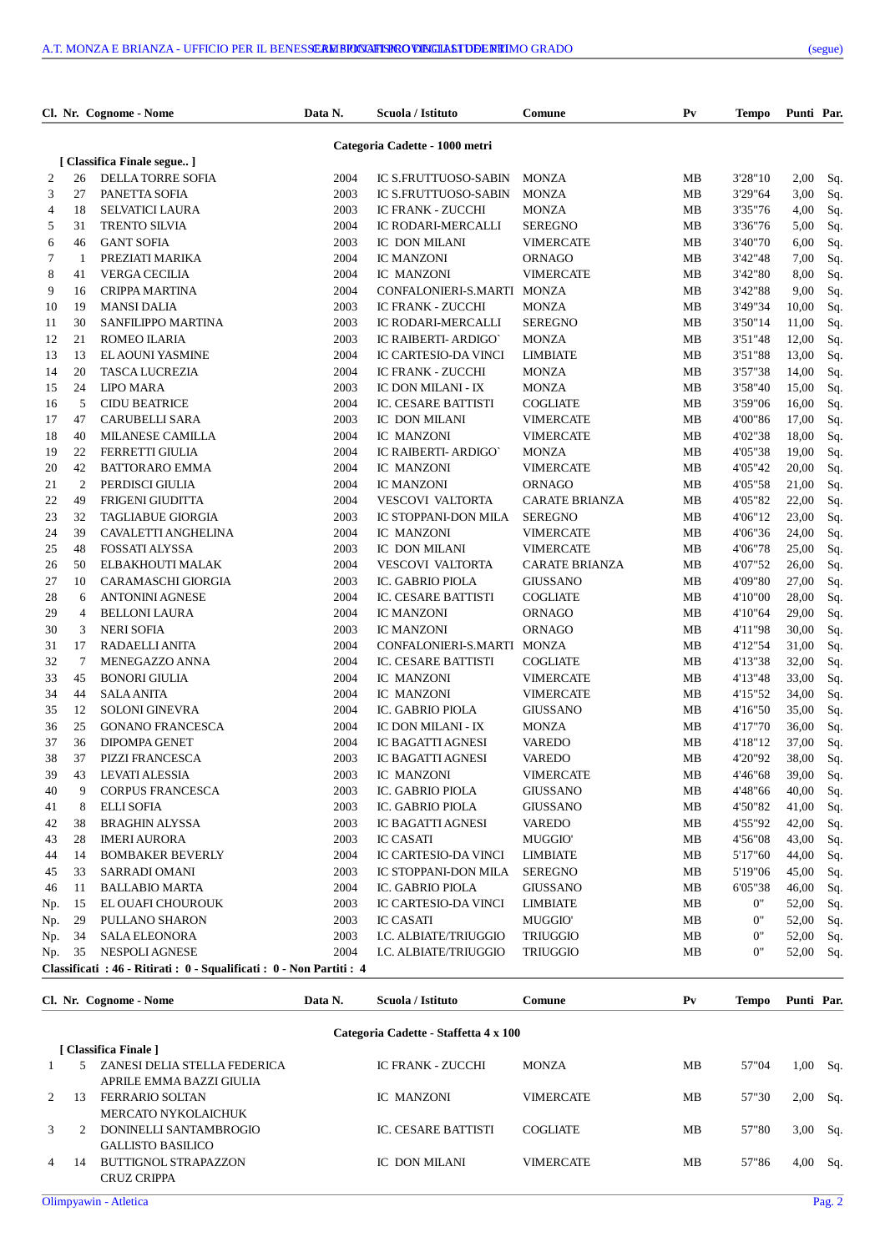| ue)<br>e. |
|-----------|
|           |

|     |        | Cl. Nr. Cognome - Nome                                                | Data N. | Scuola / Istituto                  | Comune                              | P <sub>V</sub>   | Tempo        | Punti Par.     |     |
|-----|--------|-----------------------------------------------------------------------|---------|------------------------------------|-------------------------------------|------------------|--------------|----------------|-----|
|     |        |                                                                       |         | Categoria Cadette - 1000 metri     |                                     |                  |              |                |     |
|     |        | [ Classifica Finale segue ]                                           |         |                                    |                                     |                  |              |                |     |
| 2   | 26     | DELLA TORRE SOFIA                                                     | 2004    | IC S.FRUTTUOSO-SABIN               | <b>MONZA</b>                        | MB               | 3'28"10      | 2,00           | Sq. |
| 3   | 27     | PANETTA SOFIA                                                         | 2003    | IC S.FRUTTUOSO-SABIN               | <b>MONZA</b>                        | MB               | 3'29"64      | 3,00           | Sq. |
| 4   | 18     | <b>SELVATICI LAURA</b>                                                | 2003    | <b>IC FRANK - ZUCCHI</b>           | <b>MONZA</b>                        | MB               | 3'35"76      | 4,00           | Sq. |
| 5   | 31     | <b>TRENTO SILVIA</b>                                                  | 2004    | IC RODARI-MERCALLI                 | <b>SEREGNO</b>                      | MВ               | 3'36"76      | 5,00           | Sq. |
| 6   | 46     | <b>GANT SOFIA</b>                                                     | 2003    | IC DON MILANI                      | <b>VIMERCATE</b>                    | MB               | 3'40"70      | 6,00           | Sq. |
| 7   | -1     | PREZIATI MARIKA                                                       | 2004    | <b>IC MANZONI</b>                  | <b>ORNAGO</b>                       | MB               | 3'42"48      | 7,00           | Sq. |
| 8   | 41     | <b>VERGA CECILIA</b>                                                  | 2004    | IC MANZONI                         | <b>VIMERCATE</b>                    | MВ               | 3'42"80      | 8,00           | Sq. |
| 9   | 16     | <b>CRIPPA MARTINA</b>                                                 | 2004    | CONFALONIERI-S.MARTI               | <b>MONZA</b>                        | MB               | 3'42"88      | 9,00           | Sq. |
| 10  | 19     | <b>MANSI DALIA</b>                                                    | 2003    | <b>IC FRANK - ZUCCHI</b>           | <b>MONZA</b>                        | MB               | 3'49"34      | 10,00          | Sq. |
| 11  | 30     | SANFILIPPO MARTINA                                                    | 2003    | IC RODARI-MERCALLI                 | SEREGNO                             | MB               | 3'50"14      | 11,00          | Sq. |
| 12  | 21     | ROMEO ILARIA                                                          | 2003    | IC RAIBERTI- ARDIGO'               | <b>MONZA</b>                        | MB               | 3'51"48      | 12,00          | Sq. |
| 13  | 13     | <b>EL AOUNI YASMINE</b>                                               | 2004    | IC CARTESIO-DA VINCI               | LIMBIATE                            | MB               | 3'51"88      | 13,00          | Sq. |
| 14  | 20     | <b>TASCA LUCREZIA</b>                                                 | 2004    | <b>IC FRANK - ZUCCHI</b>           | <b>MONZA</b>                        | MB               | 3'57"38      | 14,00          |     |
| 15  | 24     | <b>LIPO MARA</b>                                                      | 2003    | IC DON MILANI - IX                 | <b>MONZA</b>                        | MB               | 3'58"40      | 15,00          | Sq. |
|     | 5      |                                                                       | 2004    | IC. CESARE BATTISTI                |                                     |                  | 3'59"06      |                | Sq. |
| 16  | 47     | <b>CIDU BEATRICE</b>                                                  | 2003    |                                    | <b>COGLIATE</b><br><b>VIMERCATE</b> | MB               | 4'00"86      | 16,00          | Sq. |
| 17  | 40     | <b>CARUBELLI SARA</b>                                                 | 2004    | IC DON MILANI                      |                                     | MB               | 4'02"38      | 17,00          | Sq. |
| 18  | 22     | <b>MILANESE CAMILLA</b>                                               | 2004    | IC MANZONI<br>IC RAIBERTI- ARDIGO' | <b>VIMERCATE</b>                    | MВ               | 4'05"38      | 18,00          | Sq. |
| 19  | 42     | <b>FERRETTI GIULIA</b>                                                | 2004    | IC MANZONI                         | <b>MONZA</b><br><b>VIMERCATE</b>    | MB               | 4'05"42      | 19,00<br>20,00 | Sq. |
| 20  |        | <b>BATTORARO EMMA</b>                                                 |         |                                    |                                     | MB               |              |                | Sq. |
| 21  | 2      | PERDISCI GIULIA                                                       | 2004    | <b>IC MANZONI</b>                  | <b>ORNAGO</b>                       | MB               | 4'05"58      | 21,00          | Sq. |
| 22  | 49     | FRIGENI GIUDITTA                                                      | 2004    | <b>VESCOVI VALTORTA</b>            | <b>CARATE BRIANZA</b>               | MB               | 4'05"82      | 22,00          | Sq. |
| 23  | 32     | <b>TAGLIABUE GIORGIA</b>                                              | 2003    | IC STOPPANI-DON MILA               | <b>SEREGNO</b>                      | MB               | 4'06"12      | 23,00          | Sq. |
| 24  | 39     | CAVALETTI ANGHELINA                                                   | 2004    | IC MANZONI                         | <b>VIMERCATE</b>                    | MB               | 4'06"36      | 24,00          | Sq. |
| 25  | 48     | <b>FOSSATI ALYSSA</b>                                                 | 2003    | IC DON MILANI                      | <b>VIMERCATE</b>                    | MB               | 4'06"78      | 25,00          | Sq. |
| 26  | 50     | ELBAKHOUTI MALAK                                                      | 2004    | <b>VESCOVI VALTORTA</b>            | <b>CARATE BRIANZA</b>               | MB               | 4'07"52      | 26,00          | Sq. |
| 27  | 10     | CARAMASCHI GIORGIA                                                    | 2003    | IC. GABRIO PIOLA                   | <b>GIUSSANO</b>                     | MB               | 4'09"80      | 27,00          | Sq. |
| 28  | 6      | <b>ANTONINI AGNESE</b>                                                | 2004    | IC. CESARE BATTISTI                | <b>COGLIATE</b>                     | MB               | 4'10"00      | 28,00          | Sq. |
| 29  | 4      | <b>BELLONI LAURA</b>                                                  | 2004    | <b>IC MANZONI</b>                  | <b>ORNAGO</b>                       | MВ               | 4'10"64      | 29,00          | Sq. |
| 30  | 3      | <b>NERI SOFIA</b>                                                     | 2003    | <b>IC MANZONI</b>                  | <b>ORNAGO</b>                       | MB               | 4'11"98      | 30,00          | Sq. |
| 31  | 17     | RADAELLI ANITA                                                        | 2004    | CONFALONIERI-S.MARTI               | <b>MONZA</b>                        | MB               | 4'12"54      | 31,00          | Sq. |
| 32  | $\tau$ | MENEGAZZO ANNA                                                        | 2004    | IC. CESARE BATTISTI                | <b>COGLIATE</b>                     | MB               | 4'13"38      | 32,00          | Sq. |
| 33  | 45     | <b>BONORI GIULIA</b>                                                  | 2004    | IC MANZONI                         | <b>VIMERCATE</b>                    | MВ               | 4'13"48      | 33,00          | Sq. |
| 34  | 44     | <b>SALA ANITA</b>                                                     | 2004    | IC MANZONI                         | <b>VIMERCATE</b>                    | MВ               | 4'15"52      | 34,00          | Sq. |
| 35  | 12     | <b>SOLONI GINEVRA</b>                                                 | 2004    | IC. GABRIO PIOLA                   | <b>GIUSSANO</b>                     | MB               | 4'16"50      | 35,00          | Sq. |
| 36  | 25     | <b>GONANO FRANCESCA</b>                                               | 2004    | IC DON MILANI - IX                 | <b>MONZA</b>                        | MB               | 4'17"70      | 36,00          | Sq. |
| 37  | 36     | <b>DIPOMPA GENET</b>                                                  | 2004    | IC BAGATTI AGNESI                  | <b>VAREDO</b>                       | MВ               | 4'18"12      | 37,00          | Sq. |
| 38  | 37     | PIZZI FRANCESCA                                                       | 2003    | <b>IC BAGATTI AGNESI</b>           | <b>VAREDO</b>                       | MВ               | 4'20"92      | 38,00          | Sq. |
| 39  | 43     | LEVATI ALESSIA                                                        | 2003    | IC MANZONI                         | VIMERCATE                           | MВ               | 4'46"68      | 39,00          | Sq. |
| 40  | 9      | CORPUS FRANCESCA                                                      | 2003    | IC. GABRIO PIOLA                   | <b>GIUSSANO</b>                     | MB               | 4'48"66      | 40,00          | Sq. |
| 41  | 8      | <b>ELLI SOFIA</b>                                                     | 2003    | IC. GABRIO PIOLA                   | <b>GIUSSANO</b>                     | MВ               | 4'50"82      | 41,00          | Sq. |
| 42  | 38     | <b>BRAGHIN ALYSSA</b>                                                 | 2003    | <b>IC BAGATTI AGNESI</b>           | VAREDO                              | MВ               | 4'55"92      | 42,00          | Sq. |
| 43  | 28     | <b>IMERI AURORA</b>                                                   | 2003    | <b>IC CASATI</b>                   | MUGGIO'                             | MВ               | 4'56"08      | 43,00          | Sq. |
| 44  | 14     | <b>BOMBAKER BEVERLY</b>                                               | 2004    | IC CARTESIO-DA VINCI               | LIMBIATE                            | MВ               | 5'17"60      | 44,00          | Sq. |
| 45  | 33     | SARRADI OMANI                                                         | 2003    | IC STOPPANI-DON MILA               | <b>SEREGNO</b>                      | MВ               | 5'19"06      | 45,00          | Sq. |
| 46  | 11     | <b>BALLABIO MARTA</b>                                                 | 2004    | IC. GABRIO PIOLA                   | <b>GIUSSANO</b>                     | MВ               | 6'05"38      | 46,00          | Sq. |
| Np. | 15     | EL OUAFI CHOUROUK                                                     | 2003    | IC CARTESIO-DA VINCI               | LIMBIATE                            | MВ               | 0"           | 52,00          | Sq. |
| Np. | 29     | PULLANO SHARON                                                        | 2003    | <b>IC CASATI</b>                   | <b>MUGGIO'</b>                      | MB               | 0"           | 52,00          | Sq. |
| Np. | 34     | <b>SALA ELEONORA</b>                                                  | 2003    | I.C. ALBIATE/TRIUGGIO              | <b>TRIUGGIO</b>                     | MB               | 0"           | 52,00          | Sq. |
| Np. | 35     | NESPOLI AGNESE                                                        | 2004    | I.C. ALBIATE/TRIUGGIO              | TRIUGGIO                            | MВ               | 0"           | 52,00          | Sq. |
|     |        | Classificati : 46 - Ritirati : 0 - Squalificati : 0 - Non Partiti : 4 |         |                                    |                                     |                  |              |                |     |
|     |        | Cl. Nr. Cognome - Nome                                                | Data N. | Scuola / Istituto                  | <b>Comune</b>                       | ${\bf P}{\bf v}$ | <b>Tempo</b> | Punti Par.     |     |

| $\mathbf{C}_1$ , $\mathbf{C}_2$ , $\mathbf{C}_3$ , $\mathbf{C}_4$ , $\mathbf{C}_5$ , $\mathbf{C}_6$ , $\mathbf{C}_7$ |                                    |                       |                            | $\sim$           | . . | Tempo | * ***** * *** |       |  |  |  |  |  |
|----------------------------------------------------------------------------------------------------------------------|------------------------------------|-----------------------|----------------------------|------------------|-----|-------|---------------|-------|--|--|--|--|--|
| Categoria Cadette - Staffetta 4 x 100                                                                                |                                    |                       |                            |                  |     |       |               |       |  |  |  |  |  |
|                                                                                                                      |                                    |                       |                            |                  |     |       |               |       |  |  |  |  |  |
| 5.                                                                                                                   | ZANESI DELIA STELLA FEDERICA       |                       | <b>IC FRANK - ZUCCHI</b>   | <b>MONZA</b>     | MB  | 57"04 | 1,00          | - Sq. |  |  |  |  |  |
|                                                                                                                      | APRILE EMMA BAZZI GIULIA           |                       |                            |                  |     |       |               |       |  |  |  |  |  |
| 13                                                                                                                   | <b>FERRARIO SOLTAN</b>             |                       | IC MANZONI                 | <b>VIMERCATE</b> | MB  | 57"30 | 2,00          | - Sq. |  |  |  |  |  |
|                                                                                                                      | <b>MERCATO NYKOLAICHUK</b>         |                       |                            |                  |     |       |               |       |  |  |  |  |  |
| $\mathcal{L}$                                                                                                        | DONINELLI SANTAMBROGIO             |                       | <b>IC. CESARE BATTISTI</b> | <b>COGLIATE</b>  | MB  | 57"80 | 3,00          | -Sq.  |  |  |  |  |  |
|                                                                                                                      | <b>GALLISTO BASILICO</b>           |                       |                            |                  |     |       |               |       |  |  |  |  |  |
| 14                                                                                                                   | <b>BUTTIGNOL STRAPAZZON</b>        |                       | IC DON MILANI              | <b>VIMERCATE</b> | MB  | 57"86 | 4,00          | Sq.   |  |  |  |  |  |
|                                                                                                                      | CRUZ CRIPPA                        |                       |                            |                  |     |       |               |       |  |  |  |  |  |
|                                                                                                                      | $2^{\circ}$<br>3<br>$\overline{4}$ | [ Classifica Finale ] |                            |                  |     |       |               |       |  |  |  |  |  |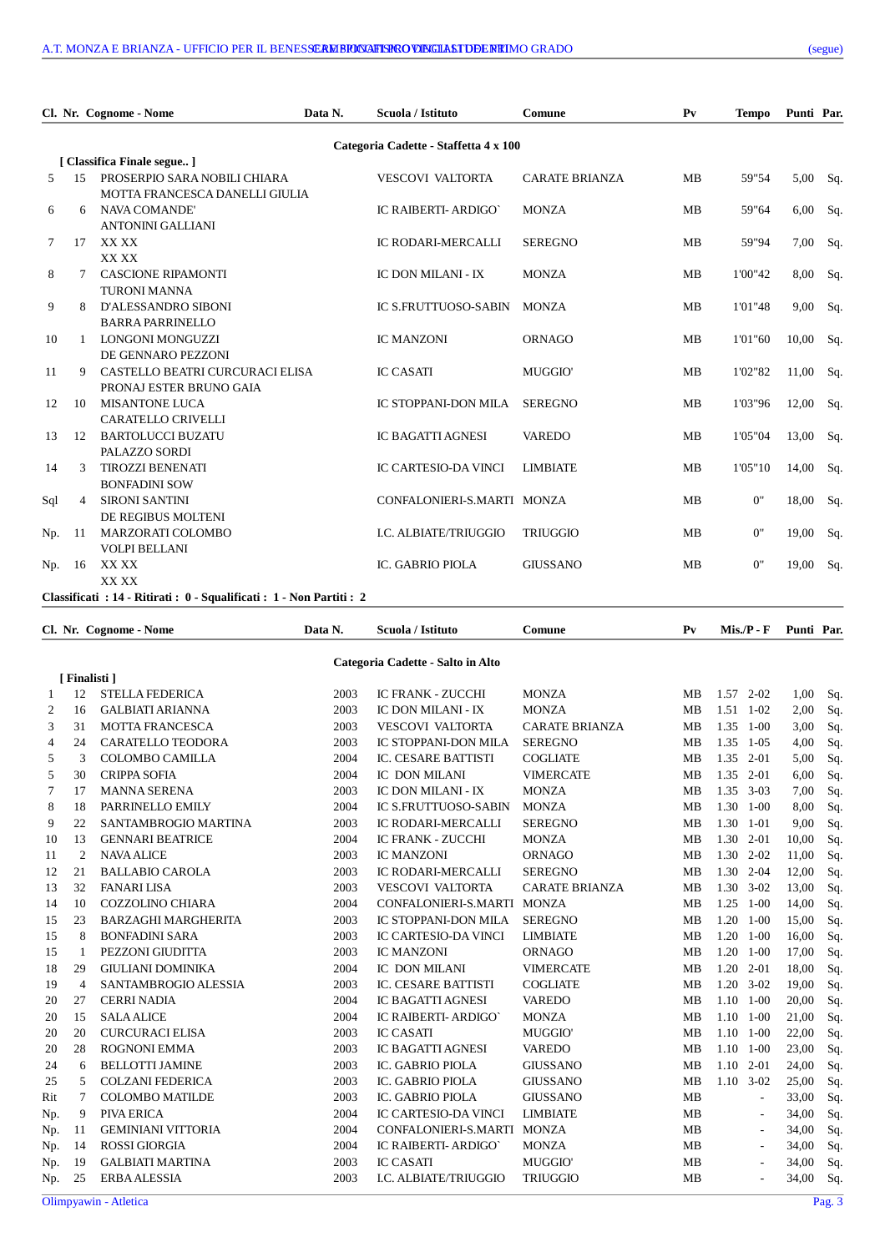| Cl. Nr. Cognome - Nome |                                       | Data N.                                                               | Scuola / Istituto | Comune                      | P <sub>V</sub>        | <b>Tempo</b> | Punti Par. |       |     |  |  |  |
|------------------------|---------------------------------------|-----------------------------------------------------------------------|-------------------|-----------------------------|-----------------------|--------------|------------|-------|-----|--|--|--|
|                        | Categoria Cadette - Staffetta 4 x 100 |                                                                       |                   |                             |                       |              |            |       |     |  |  |  |
|                        |                                       | [ Classifica Finale segue ]                                           |                   |                             |                       |              |            |       |     |  |  |  |
| 5                      | 1.5                                   | PROSERPIO SARA NOBILI CHIARA                                          |                   | <b>VESCOVI VALTORTA</b>     | <b>CARATE BRIANZA</b> | MB           | 59"54      | 5,00  | Sq. |  |  |  |
|                        |                                       | MOTTA FRANCESCA DANELLI GIULIA                                        |                   |                             |                       |              |            |       |     |  |  |  |
| 6                      | 6                                     | <b>NAVA COMANDE'</b>                                                  |                   | IC RAIBERTI- ARDIGO'        | <b>MONZA</b>          | MB           | 59"64      | 6,00  | Sq. |  |  |  |
|                        |                                       | <b>ANTONINI GALLIANI</b>                                              |                   |                             |                       |              |            |       |     |  |  |  |
| 7                      | 17                                    | XX XX                                                                 |                   | IC RODARI-MERCALLI          | <b>SEREGNO</b>        | MB           | 59"94      | 7,00  | Sq. |  |  |  |
|                        |                                       | XX XX                                                                 |                   |                             |                       |              |            |       |     |  |  |  |
| 8                      | 7                                     | <b>CASCIONE RIPAMONTI</b>                                             |                   | IC DON MILANI - IX          | <b>MONZA</b>          | MB           | 1'00"42    | 8,00  | Sq. |  |  |  |
|                        |                                       | <b>TURONI MANNA</b>                                                   |                   |                             |                       |              |            |       |     |  |  |  |
| 9                      | 8                                     | <b>D'ALESSANDRO SIBONI</b>                                            |                   | <b>IC S.FRUTTUOSO-SABIN</b> | <b>MONZA</b>          | MВ           | 1'01"48    | 9,00  | Sq. |  |  |  |
|                        |                                       | <b>BARRA PARRINELLO</b>                                               |                   |                             |                       |              |            |       |     |  |  |  |
| 10                     |                                       | <b>LONGONI MONGUZZI</b>                                               |                   | <b>IC MANZONI</b>           | <b>ORNAGO</b>         | MB           | 1'01"60    | 10,00 | Sq. |  |  |  |
|                        |                                       | DE GENNARO PEZZONI                                                    |                   |                             |                       |              |            |       |     |  |  |  |
| 11                     | 9                                     | CASTELLO BEATRI CURCURACI ELISA                                       |                   | <b>IC CASATI</b>            | MUGGIO'               | MB           | 1'02"82    | 11,00 | Sq. |  |  |  |
|                        |                                       | PRONAJ ESTER BRUNO GAIA                                               |                   |                             |                       |              |            |       |     |  |  |  |
| 12                     | 10                                    | <b>MISANTONE LUCA</b>                                                 |                   | IC STOPPANI-DON MILA        | <b>SEREGNO</b>        | MB           | 1'03"96    | 12,00 | Sq. |  |  |  |
|                        |                                       | <b>CARATELLO CRIVELLI</b>                                             |                   |                             |                       |              |            |       |     |  |  |  |
| 13                     | 12                                    | <b>BARTOLUCCI BUZATU</b>                                              |                   | <b>IC BAGATTI AGNESI</b>    | <b>VAREDO</b>         | MB           | 1'05"04    | 13,00 | Sq. |  |  |  |
|                        |                                       | PALAZZO SORDI                                                         |                   |                             |                       |              |            |       |     |  |  |  |
| 14                     | 3                                     | <b>TIROZZI BENENATI</b>                                               |                   | IC CARTESIO-DA VINCI        | <b>LIMBIATE</b>       | <b>MB</b>    | 1'05"10    | 14,00 | Sq. |  |  |  |
|                        |                                       | <b>BONFADINI SOW</b>                                                  |                   |                             |                       |              |            |       |     |  |  |  |
| Sql                    | $\overline{4}$                        | <b>SIRONI SANTINI</b>                                                 |                   | CONFALONIERI-S.MARTI MONZA  |                       | MB           | 0"         | 18,00 | Sq. |  |  |  |
|                        |                                       | DE REGIBUS MOLTENI                                                    |                   |                             |                       |              |            |       |     |  |  |  |
| Np.                    | 11                                    | MARZORATI COLOMBO                                                     |                   | I.C. ALBIATE/TRIUGGIO       | <b>TRIUGGIO</b>       | MB           | 0"         | 19,00 | Sq. |  |  |  |
|                        |                                       | <b>VOLPI BELLANI</b>                                                  |                   |                             |                       |              |            |       |     |  |  |  |
| Np.                    | 16                                    | XX XX                                                                 |                   | IC. GABRIO PIOLA            | <b>GIUSSANO</b>       | MB           | 0"         | 19,00 | Sq. |  |  |  |
|                        |                                       | XX XX                                                                 |                   |                             |                       |              |            |       |     |  |  |  |
|                        |                                       | Classificati : 14 - Ritirati : 0 - Squalificati : 1 - Non Partiti : 2 |                   |                             |                       |              |            |       |     |  |  |  |

**Cl. Nr. Cognome - Nome Data N. Scuola / Istituto Comune Pv Mis./P - F Punti Par.**

|     |                |                            |      | Categoria Cadette - Salto in Alto |                       |           |           |                          |       |        |
|-----|----------------|----------------------------|------|-----------------------------------|-----------------------|-----------|-----------|--------------------------|-------|--------|
|     | [Finalisti]    |                            |      |                                   |                       |           |           |                          |       |        |
| 1   | 12             | <b>STELLA FEDERICA</b>     | 2003 | <b>IC FRANK - ZUCCHI</b>          | <b>MONZA</b>          | <b>MB</b> |           | $1.57$ 2-02              | 1,00  | Sq.    |
| 2   | 16             | <b>GALBIATI ARIANNA</b>    | 2003 | IC DON MILANI - IX                | <b>MONZA</b>          | MB        | 1.51      | $1-02$                   | 2,00  | Sq.    |
| 3   | 31             | <b>MOTTA FRANCESCA</b>     | 2003 | <b>VESCOVI VALTORTA</b>           | <b>CARATE BRIANZA</b> | MB        |           | 1.35 1-00                | 3,00  | Sq.    |
| 4   | 24             | <b>CARATELLO TEODORA</b>   | 2003 | IC STOPPANI-DON MILA              | <b>SEREGNO</b>        | MB        | 1.35      | $1-05$                   | 4,00  | Sq.    |
| 5   | 3              | <b>COLOMBO CAMILLA</b>     | 2004 | <b>IC. CESARE BATTISTI</b>        | <b>COGLIATE</b>       | MB        | 1.35 2-01 |                          | 5,00  | Sq.    |
| 5   | 30             | <b>CRIPPA SOFIA</b>        | 2004 | IC DON MILANI                     | <b>VIMERCATE</b>      | <b>MB</b> | 1.35 2-01 |                          | 6,00  | Sq.    |
| 7   | 17             | <b>MANNA SERENA</b>        | 2003 | <b>IC DON MILANI - IX</b>         | <b>MONZA</b>          | <b>MB</b> |           | $1.35$ 3-03              | 7,00  | Sq.    |
| 8   | 18             | PARRINELLO EMILY           | 2004 | IC S.FRUTTUOSO-SABIN              | <b>MONZA</b>          | <b>MB</b> |           | 1.30 1-00                | 8,00  | Sq.    |
| 9   | 22             | SANTAMBROGIO MARTINA       | 2003 | <b>IC RODARI-MERCALLI</b>         | <b>SEREGNO</b>        | MB        | 1.30      | $1 - 01$                 | 9,00  | Sq.    |
| 10  | 13             | <b>GENNARI BEATRICE</b>    | 2004 | <b>IC FRANK - ZUCCHI</b>          | <b>MONZA</b>          | <b>MB</b> | 1.30      | $2 - 01$                 | 10,00 | Sq.    |
| 11  | $\overline{2}$ | <b>NAVA ALICE</b>          | 2003 | <b>IC MANZONI</b>                 | <b>ORNAGO</b>         | <b>MB</b> | 1.30      | $2 - 02$                 | 11,00 | Sq.    |
| 12  | 21             | <b>BALLABIO CAROLA</b>     | 2003 | IC RODARI-MERCALLI                | <b>SEREGNO</b>        | <b>MB</b> | 1.30      | $2 - 04$                 | 12,00 | Sq.    |
| 13  | 32             | <b>FANARI LISA</b>         | 2003 | <b>VESCOVI VALTORTA</b>           | <b>CARATE BRIANZA</b> | <b>MB</b> |           | $1.30 \quad 3-02$        | 13,00 | Sq.    |
| 14  | 10             | <b>COZZOLINO CHIARA</b>    | 2004 | CONFALONIERI-S.MARTI              | <b>MONZA</b>          | <b>MB</b> | 1.25      | $1 - 00$                 | 14,00 | Sq.    |
| 15  | 23             | <b>BARZAGHI MARGHERITA</b> | 2003 | IC STOPPANI-DON MILA              | <b>SEREGNO</b>        | <b>MB</b> | 1.20      | $1 - 00$                 | 15,00 | Sq.    |
| 15  | 8              | <b>BONFADINI SARA</b>      | 2003 | <b>IC CARTESIO-DA VINCI</b>       | <b>LIMBIATE</b>       | MB        | 1.20      | $1 - 00$                 | 16,00 | Sq.    |
| 15  | -1             | PEZZONI GIUDITTA           | 2003 | <b>IC MANZONI</b>                 | <b>ORNAGO</b>         | MB        | 1.20      | $1 - 00$                 | 17,00 | Sq.    |
| 18  | 29             | <b>GIULIANI DOMINIKA</b>   | 2004 | IC DON MILANI                     | <b>VIMERCATE</b>      | <b>MB</b> | 1.20      | $2 - 01$                 | 18,00 | Sq.    |
| 19  | $\overline{4}$ | SANTAMBROGIO ALESSIA       | 2003 | IC. CESARE BATTISTI               | <b>COGLIATE</b>       | <b>MB</b> |           | $1.20$ 3-02              | 19,00 | Sq.    |
| 20  | 27             | <b>CERRI NADIA</b>         | 2004 | <b>IC BAGATTI AGNESI</b>          | <b>VAREDO</b>         | <b>MB</b> |           | $1.10 \quad 1-00$        | 20,00 | Sq.    |
| 20  | 15             | <b>SALA ALICE</b>          | 2004 | IC RAIBERTI- ARDIGO'              | <b>MONZA</b>          | <b>MB</b> |           | $1.10 \quad 1-00$        | 21,00 | Sq.    |
| 20  | 20             | <b>CURCURACI ELISA</b>     | 2003 | <b>IC CASATI</b>                  | MUGGIO'               | <b>MB</b> |           | $1.10 \quad 1-00$        | 22,00 | Sq.    |
| 20  | 28             | <b>ROGNONI EMMA</b>        | 2003 | <b>IC BAGATTI AGNESI</b>          | <b>VAREDO</b>         | MB        | 1.10      | $1 - 00$                 | 23,00 | Sq.    |
| 24  | 6              | <b>BELLOTTI JAMINE</b>     | 2003 | IC. GABRIO PIOLA                  | <b>GIUSSANO</b>       | MB        | 1.10      | $2 - 01$                 | 24,00 | Sq.    |
| 25  | 5              | <b>COLZANI FEDERICA</b>    | 2003 | IC. GABRIO PIOLA                  | <b>GIUSSANO</b>       | <b>MB</b> |           | $1.10$ 3-02              | 25,00 | Sq.    |
| Rit | 7              | <b>COLOMBO MATILDE</b>     | 2003 | IC. GABRIO PIOLA                  | <b>GIUSSANO</b>       | <b>MB</b> |           | $\overline{a}$           | 33,00 | Sq.    |
| Np. | 9              | PIVA ERICA                 | 2004 | IC CARTESIO-DA VINCI              | <b>LIMBIATE</b>       | MB        |           | $\overline{\phantom{a}}$ | 34,00 | Sq.    |
| Np. | 11             | <b>GEMINIANI VITTORIA</b>  | 2004 | CONFALONIERI-S.MARTI              | <b>MONZA</b>          | MB        |           | $\overline{\phantom{a}}$ | 34,00 | Sq.    |
| Np. | 14             | <b>ROSSI GIORGIA</b>       | 2004 | IC RAIBERTI- ARDIGO`              | <b>MONZA</b>          | MB        |           | $\overline{a}$           | 34,00 | Sq.    |
| Np. | 19             | <b>GALBIATI MARTINA</b>    | 2003 | <b>IC CASATI</b>                  | MUGGIO'               | MB        |           | $\overline{a}$           | 34,00 | Sq.    |
| Np. | 25             | <b>ERBA ALESSIA</b>        | 2003 | I.C. ALBIATE/TRIUGGIO             | <b>TRIUGGIO</b>       | <b>MB</b> |           |                          | 34,00 | Sq.    |
|     |                | Olimpyawin - Atletica      |      |                                   |                       |           |           |                          |       | Pag. 3 |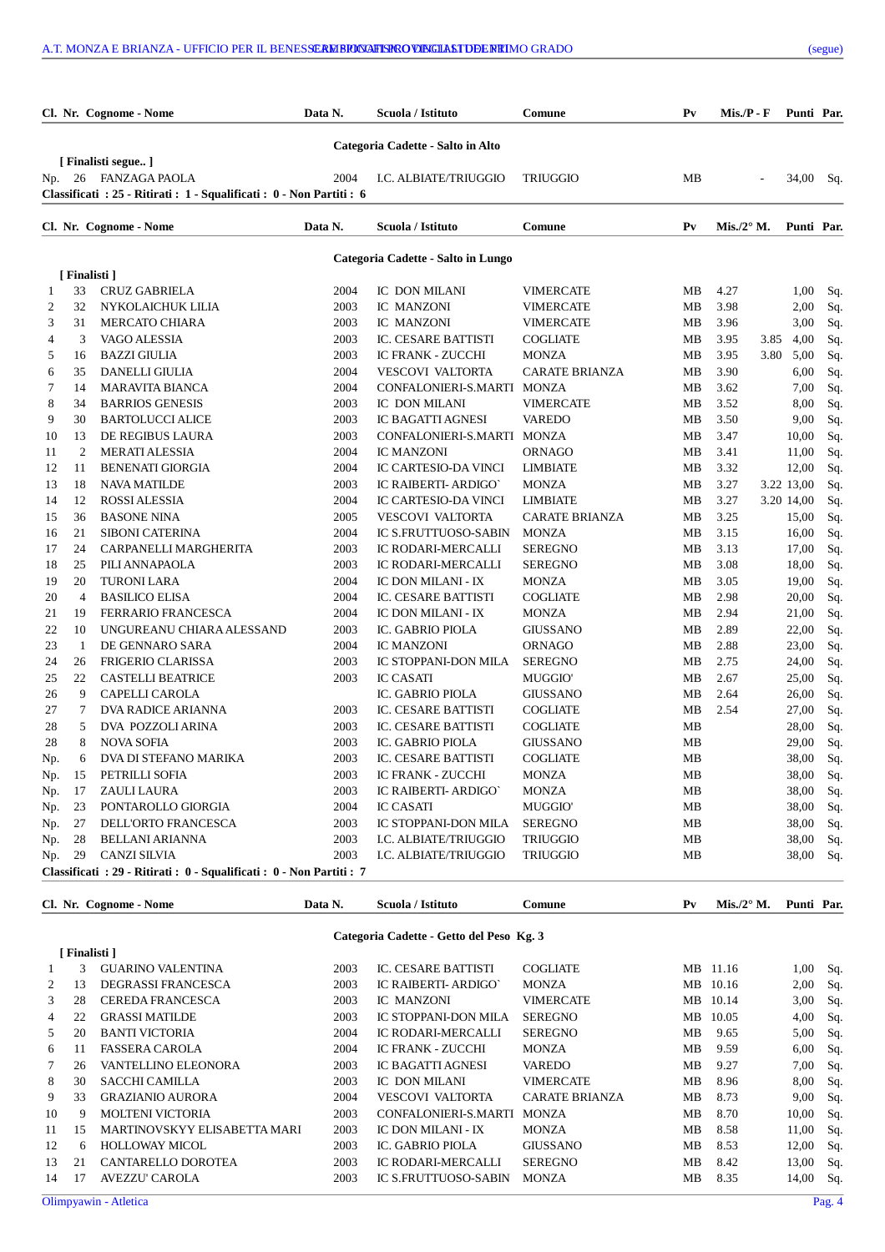|     |               | Cl. Nr. Cognome - Nome                                            | Data N. | Scuola / Istituto                        | Comune                | Pv             | $Mis.P - F$         |              | Punti Par. |
|-----|---------------|-------------------------------------------------------------------|---------|------------------------------------------|-----------------------|----------------|---------------------|--------------|------------|
|     |               |                                                                   |         | Categoria Cadette - Salto in Alto        |                       |                |                     |              |            |
|     |               | [ Finalisti segue ]                                               |         |                                          |                       |                |                     |              |            |
| Np. |               | 26 FANZAGA PAOLA                                                  | 2004    | I.C. ALBIATE/TRIUGGIO                    | <b>TRIUGGIO</b>       | MB             | L.                  |              | 34,00 Sq.  |
|     |               | Classificati: 25 - Ritirati: 1 - Squalificati: 0 - Non Partiti: 6 |         |                                          |                       |                |                     |              |            |
|     |               | Cl. Nr. Cognome - Nome                                            | Data N. | Scuola / Istituto                        | Comune                | P <sub>V</sub> | Mis./2 $\degree$ M. |              | Punti Par. |
|     |               |                                                                   |         | Categoria Cadette - Salto in Lungo       |                       |                |                     |              |            |
|     | [ Finalisti ] |                                                                   |         |                                          |                       |                |                     |              |            |
| 1   | 33            | <b>CRUZ GABRIELA</b>                                              | 2004    | IC DON MILANI                            | <b>VIMERCATE</b>      | MB             | 4.27                | 1,00         | Sq.        |
| 2   | 32            | NYKOLAICHUK LILIA                                                 | 2003    | IC MANZONI                               | <b>VIMERCATE</b>      | MB             | 3.98                | 2,00         | Sq.        |
| 3   | 31            | <b>MERCATO CHIARA</b>                                             | 2003    | IC MANZONI                               | <b>VIMERCATE</b>      | MB             | 3.96                | 3,00         | Sq.        |
| 4   | 3             | VAGO ALESSIA                                                      | 2003    | <b>IC. CESARE BATTISTI</b>               | <b>COGLIATE</b>       | MB             | 3.95                | 4,00<br>3.85 | Sq.        |
| 5   | 16            | <b>BAZZI GIULIA</b>                                               | 2003    | <b>IC FRANK - ZUCCHI</b>                 | <b>MONZA</b>          | MB             | 3.95                | 3.80<br>5,00 | Sq.        |
| 6   | 35            | DANELLI GIULIA                                                    | 2004    | <b>VESCOVI VALTORTA</b>                  | <b>CARATE BRIANZA</b> | MВ             | 3.90                | 6,00         | Sq.        |
| 7   | 14            | <b>MARAVITA BIANCA</b>                                            | 2004    | CONFALONIERI-S.MARTI MONZA               |                       | MB             | 3.62                | 7,00         | Sq.        |
| 8   | 34            | <b>BARRIOS GENESIS</b>                                            | 2003    | IC DON MILANI                            | <b>VIMERCATE</b>      | MB             | 3.52                | 8,00         | Sq.        |
| 9   | 30            | <b>BARTOLUCCI ALICE</b>                                           | 2003    | IC BAGATTI AGNESI                        | <b>VAREDO</b>         | MB             | 3.50                | 9,00         | Sq.        |
| 10  | 13            | DE REGIBUS LAURA                                                  | 2003    | CONFALONIERI-S.MARTI MONZA               |                       | MB             | 3.47                | 10,00        | Sq.        |
| 11  | 2             | <b>MERATI ALESSIA</b>                                             | 2004    | <b>IC MANZONI</b>                        | ORNAGO                | MВ             | 3.41                | 11,00        | Sq.        |
| 12  | 11            | <b>BENENATI GIORGIA</b>                                           | 2004    | <b>IC CARTESIO-DA VINCI</b>              | <b>LIMBIATE</b>       | MB             | 3.32                | 12,00        | Sq.        |
| 13  | 18            | <b>NAVA MATILDE</b>                                               | 2003    | IC RAIBERTI- ARDIGO'                     | <b>MONZA</b>          | MB             | 3.27                | 3.22 13,00   | Sq.        |
| 14  | 12            | <b>ROSSI ALESSIA</b>                                              | 2004    | IC CARTESIO-DA VINCI                     | <b>LIMBIATE</b>       | MB             | 3.27                | 3.20 14,00   | Sq.        |
| 15  | 36            | <b>BASONE NINA</b>                                                | 2005    | <b>VESCOVI VALTORTA</b>                  | <b>CARATE BRIANZA</b> | MB             | 3.25                | 15,00        | Sq.        |
| 16  | 21            | <b>SIBONI CATERINA</b>                                            | 2004    | <b>IC S.FRUTTUOSO-SABIN</b>              | <b>MONZA</b>          | MB             | 3.15                | 16,00        | Sq.        |
| 17  | 24            | CARPANELLI MARGHERITA                                             | 2003    | IC RODARI-MERCALLI                       | <b>SEREGNO</b>        | MB             | 3.13                | 17,00        | Sq.        |
| 18  | 25            | PILI ANNAPAOLA                                                    | 2003    | IC RODARI-MERCALLI                       | <b>SEREGNO</b>        | MB             | 3.08                | 18,00        | Sq.        |
| 19  | 20            | <b>TURONI LARA</b>                                                | 2004    | IC DON MILANI - IX                       | <b>MONZA</b>          | MB             | 3.05                | 19,00        | Sq.        |
| 20  | 4             | <b>BASILICO ELISA</b>                                             | 2004    | IC. CESARE BATTISTI                      | <b>COGLIATE</b>       | MB             | 2.98                | 20,00        | Sq.        |
| 21  | 19            | <b>FERRARIO FRANCESCA</b>                                         | 2004    | IC DON MILANI - IX                       | <b>MONZA</b>          | MВ             | 2.94                | 21,00        | Sq.        |
| 22  | 10            | UNGUREANU CHIARA ALESSAND                                         | 2003    | IC. GABRIO PIOLA                         | <b>GIUSSANO</b>       | MB             | 2.89                | 22,00        | Sq.        |
| 23  | 1             | DE GENNARO SARA                                                   | 2004    | <b>IC MANZONI</b>                        | <b>ORNAGO</b>         | MВ             | 2.88                | 23,00        | Sq.        |
| 24  | 26            | <b>FRIGERIO CLARISSA</b>                                          | 2003    | IC STOPPANI-DON MILA                     | <b>SEREGNO</b>        | MB             | 2.75                | 24,00        | Sq.        |
| 25  | 22            | <b>CASTELLI BEATRICE</b>                                          | 2003    | <b>IC CASATI</b>                         | <b>MUGGIO</b>         | MB             | 2.67                | 25,00        | Sq.        |
| 26  | 9             | CAPELLI CAROLA                                                    |         | IC. GABRIO PIOLA                         | <b>GIUSSANO</b>       | MB             | 2.64                | 26,00        | Sq.        |
| 27  | 7             | <b>DVA RADICE ARIANNA</b>                                         | 2003    | IC. CESARE BATTISTI                      | COGLIATE              | MВ             | 2.54                | 27,00        | Sq.        |
| 28  | 5             | DVA POZZOLI ARINA                                                 | 2003    | IC. CESARE BATTISTI                      | COGLIATE              | MB             |                     | 28,00        | Sq.        |
| 28  | 8             | <b>NOVA SOFIA</b>                                                 | 2003    | IC. GABRIO PIOLA                         | <b>GIUSSANO</b>       | МB             |                     | 29,00        | Sq.        |
| Np. | 6             | DVA DI STEFANO MARIKA                                             | 2003    | IC. CESARE BATTISTI                      | <b>COGLIATE</b>       | MB             |                     |              | 38,00 Sq.  |
| Np. | 15            | PETRILLI SOFIA                                                    | 2003    | IC FRANK - ZUCCHI                        | MONZA                 | MВ             |                     |              | 38,00 Sq.  |
| Np. | 17            | ZAULI LAURA                                                       | 2003    | IC RAIBERTI- ARDIGO'                     | <b>MONZA</b>          | MВ             |                     | 38,00        | Sq.        |
| Np. | 23            | PONTAROLLO GIORGIA                                                | 2004    | <b>IC CASATI</b>                         | MUGGIO'               | MB             |                     | 38,00        | Sq.        |
| Np. | 27            | DELL'ORTO FRANCESCA                                               | 2003    | IC STOPPANI-DON MILA                     | <b>SEREGNO</b>        | MB             |                     | 38,00        | Sq.        |
| Np. | 28            | <b>BELLANI ARIANNA</b>                                            | 2003    | I.C. ALBIATE/TRIUGGIO                    | <b>TRIUGGIO</b>       | MB             |                     | 38,00        | Sq.        |
| Np. | 29            | <b>CANZI SILVIA</b>                                               | 2003    | I.C. ALBIATE/TRIUGGIO                    | <b>TRIUGGIO</b>       | MB             |                     | 38,00        |            |
|     |               | Classificati: 29 - Ritirati: 0 - Squalificati: 0 - Non Partiti: 7 |         |                                          |                       |                |                     |              | Sq.        |
|     |               | Cl. Nr. Cognome - Nome                                            | Data N. | Scuola / Istituto                        | Comune                | $P_{V}$        | Mis./2° M.          |              | Punti Par. |
|     |               |                                                                   |         |                                          |                       |                |                     |              |            |
|     |               |                                                                   |         | Categoria Cadette - Getto del Peso Kg. 3 |                       |                |                     |              |            |
|     | [Finalisti]   |                                                                   |         |                                          |                       |                |                     |              |            |
| 1   | 3             | <b>GUARINO VALENTINA</b>                                          | 2003    | IC. CESARE BATTISTI                      | <b>COGLIATE</b>       |                | MB 11.16            | 1,00         | Sq.        |
| 2   | 13            | DEGRASSI FRANCESCA                                                | 2003    | IC RAIBERTI- ARDIGO'                     | <b>MONZA</b>          |                | MB 10.16            | 2,00         | Sq.        |
| 3   | 28            | <b>CEREDA FRANCESCA</b>                                           | 2003    | IC MANZONI                               | <b>VIMERCATE</b>      |                | MB 10.14            | 3,00         | Sq.        |
| 4   | 22            | <b>GRASSI MATILDE</b>                                             | 2003    | IC STOPPANI-DON MILA                     | <b>SEREGNO</b>        |                | MB 10.05            | 4,00         | Sq.        |
| 5   | 20            | <b>BANTI VICTORIA</b>                                             | 2004    | IC RODARI-MERCALLI                       | <b>SEREGNO</b>        | MВ             | 9.65                |              | 5,00 Sq.   |

6 11 FASSERA CAROLA 2004 IC FRANK - ZUCCHI MONZA MB 9.59 6,00 Sq.

8 30 SACCHI CAMILLA 2003 IC DON MILANI VIMERCATE MB 8.96 8,00 Sq. 9 33 GRAZIANIO AURORA 2004 VESCOVI VALTORTA CARATE BRIANZA MB 8.73 9,00 Sq. 10 9 MOLTENI VICTORIA 2003 CONFALONIERI-S.MARTI MONZA MB 8.70 10,00 Sq. 11 15 MARTINOVSKYY ELISABETTA MARI 2003 IC DON MILANI - IX MONZA MB 8.58 11,00 Sq. 12 6 HOLLOWAY MICOL 2003 IC. GABRIO PIOLA GIUSSANO MB 8.53 12,00 Sq. 13 21 CANTARELLO DOROTEA 2003 IC RODARI-MERCALLI SEREGNO MB 8.42 13,00 Sq.<br>14 17 AVEZZU'CAROLA 2003 IC S.FRUTTUOSO-SABIN MONZA MB 8.35 14,00 Sq.

7 26 VANTELLINO ELEONORA 2003 IC BAGATTI AGNESI VAREDO MB 9.27

14 17 AVEZZU' CAROLA 2003 IC S.FRUTTUOSO-SABIN MONZA